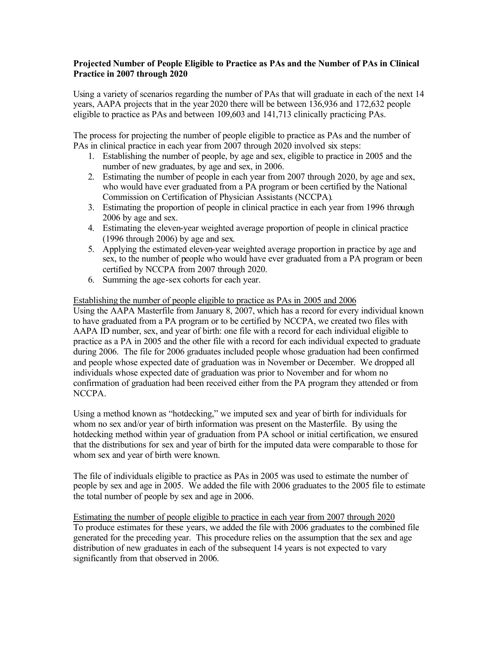### **Projected Number of People Eligible to Practice as PAs and the Number of PAs in Clinical Practice in 2007 through 2020**

Using a variety of scenarios regarding the number of PAs that will graduate in each of the next 14 years, AAPA projects that in the year 2020 there will be between 136,936 and 172,632 people eligible to practice as PAs and between 109,603 and 141,713 clinically practicing PAs.

The process for projecting the number of people eligible to practice as PAs and the number of PAs in clinical practice in each year from 2007 through 2020 involved six steps:

- 1. Establishing the number of people, by age and sex, eligible to practice in 2005 and the number of new graduates, by age and sex, in 2006.
- 2. Estimating the number of people in each year from 2007 through 2020, by age and sex, who would have ever graduated from a PA program or been certified by the National Commission on Certification of Physician Assistants (NCCPA).
- 3. Estimating the proportion of people in clinical practice in each year from 1996 through 2006 by age and sex.
- 4. Estimating the eleven-year weighted average proportion of people in clinical practice (1996 through 2006) by age and sex.
- 5. Applying the estimated eleven-year weighted average proportion in practice by age and sex, to the number of people who would have ever graduated from a PA program or been certified by NCCPA from 2007 through 2020.
- 6. Summing the age-sex cohorts for each year.

## Establishing the number of people eligible to practice as PAs in 2005 and 2006

Using the AAPA Masterfile from January 8, 2007, which has a record for every individual known to have graduated from a PA program or to be certified by NCCPA, we created two files with AAPA ID number, sex, and year of birth: one file with a record for each individual eligible to practice as a PA in 2005 and the other file with a record for each individual expected to graduate during 2006. The file for 2006 graduates included people whose graduation had been confirmed and people whose expected date of graduation was in November or December. We dropped all individuals whose expected date of graduation was prior to November and for whom no confirmation of graduation had been received either from the PA program they attended or from NCCPA.

Using a method known as "hotdecking," we imputed sex and year of birth for individuals for whom no sex and/or year of birth information was present on the Masterfile. By using the hotdecking method within year of graduation from PA school or initial certification, we ensured that the distributions for sex and year of birth for the imputed data were comparable to those for whom sex and year of birth were known.

The file of individuals eligible to practice as PAs in 2005 was used to estimate the number of people by sex and age in 2005. We added the file with 2006 graduates to the 2005 file to estimate the total number of people by sex and age in 2006.

Estimating the number of people eligible to practice in each year from 2007 through 2020 To produce estimates for these years, we added the file with 2006 graduates to the combined file generated for the preceding year. This procedure relies on the assumption that the sex and age distribution of new graduates in each of the subsequent 14 years is not expected to vary significantly from that observed in 2006.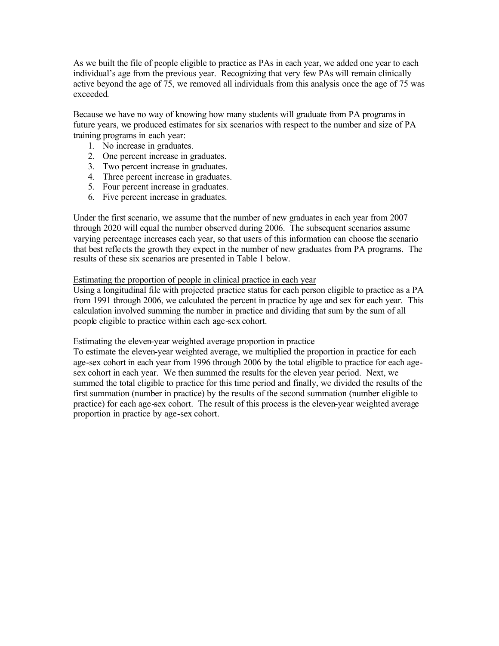As we built the file of people eligible to practice as PAs in each year, we added one year to each individual's age from the previous year. Recognizing that very few PAs will remain clinically active beyond the age of 75, we removed all individuals from this analysis once the age of 75 was exceeded.

Because we have no way of knowing how many students will graduate from PA programs in future years, we produced estimates for six scenarios with respect to the number and size of PA training programs in each year:

- 1. No increase in graduates.
- 2. One percent increase in graduates.
- 3. Two percent increase in graduates.
- 4. Three percent increase in graduates.
- 5. Four percent increase in graduates.
- 6. Five percent increase in graduates.

Under the first scenario, we assume that the number of new graduates in each year from 2007 through 2020 will equal the number observed during 2006. The subsequent scenarios assume varying percentage increases each year, so that users of this information can choose the scenario that best refle cts the growth they expect in the number of new graduates from PA programs. The results of these six scenarios are presented in Table 1 below.

#### Estimating the proportion of people in clinical practice in each year

Using a longitudinal file with projected practice status for each person eligible to practice as a PA from 1991 through 2006, we calculated the percent in practice by age and sex for each year. This calculation involved summing the number in practice and dividing that sum by the sum of all people eligible to practice within each age-sex cohort.

#### Estimating the eleven-year weighted average proportion in practice

To estimate the eleven-year weighted average, we multiplied the proportion in practice for each age-sex cohort in each year from 1996 through 2006 by the total eligible to practice for each agesex cohort in each year. We then summed the results for the eleven year period. Next, we summed the total eligible to practice for this time period and finally, we divided the results of the first summation (number in practice) by the results of the second summation (number eligible to practice) for each age-sex cohort. The result of this process is the eleven-year weighted average proportion in practice by age-sex cohort.